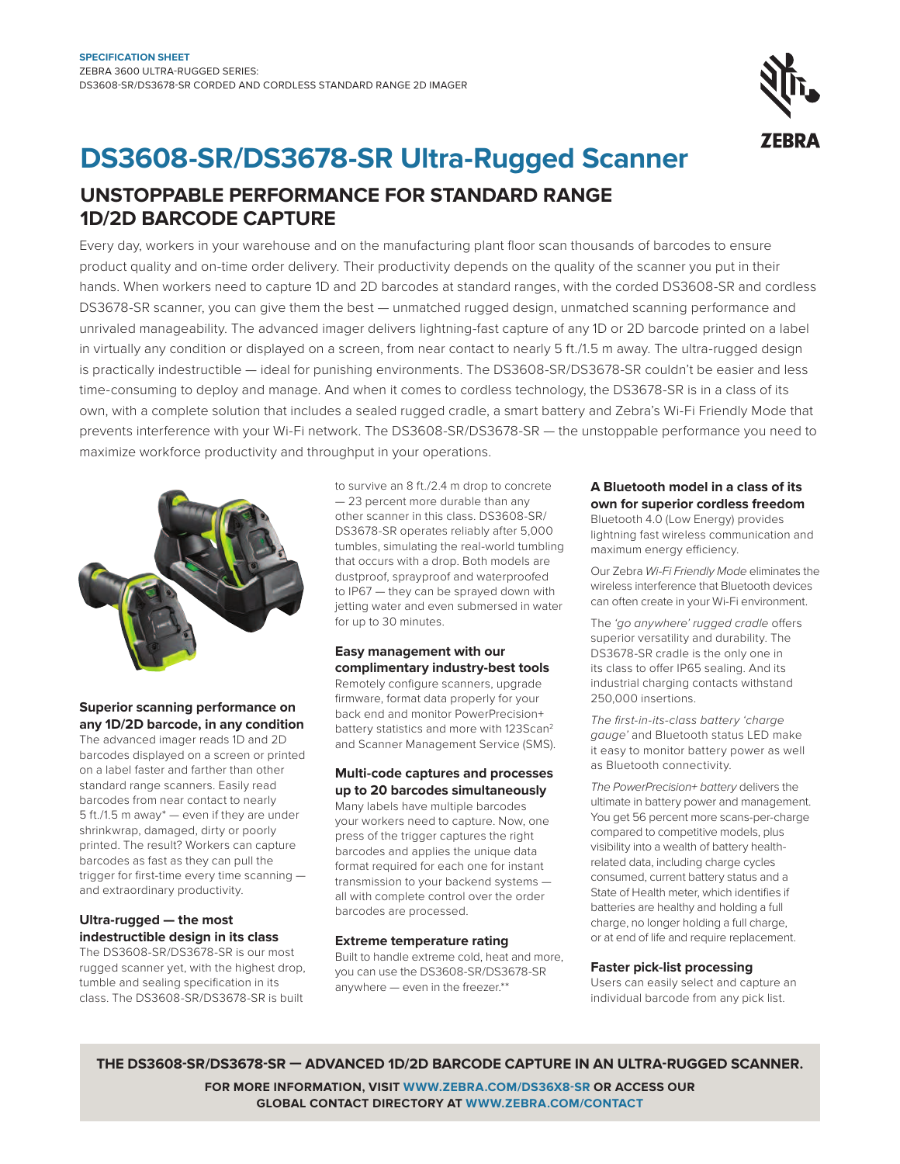

# **DS3608-SR/DS3678-SR Ultra-Rugged Scanner**

### **UnStoPPaBLE PERfoRManCE foR StanDaRD RanGE 1D/2D BaRCoDE CaPtURE**

Every day, workers in your warehouse and on the manufacturing plant loor scan thousands of barcodes to ensure product quality and on-time order delivery. Their productivity depends on the quality of the scanner you put in their hands. When workers need to capture 1D and 2D barcodes at standard ranges, with the corded DS3608-SR and cordless DS3678-SR scanner, you can give them the best — unmatched rugged design, unmatched scanning performance and unrivaled manageability. The advanced imager delivers lightning-fast capture of any 1D or 2D barcode printed on a label in virtually any condition or displayed on a screen, from near contact to nearly 5 ft./1.5 m away. The ultra-rugged design is practically indestructible — ideal for punishing environments. The DS3608-SR/DS3678-SR couldn't be easier and less time-consuming to deploy and manage. And when it comes to cordless technology, the DS3678-SR is in a class of its own, with a complete solution that includes a sealed rugged cradle, a smart battery and Zebra's Wi-Fi Friendly Mode that prevents interference with your Wi-Fi network. The DS3608-SR/DS3678-SR — the unstoppable performance you need to maximize workforce productivity and throughput in your operations.



#### **Superior scanning performance on any 1D/2D barcode, in any condition**

The advanced imager reads 1D and 2D barcodes displayed on a screen or printed on a label faster and farther than other standard range scanners. Easily read barcodes from near contact to nearly 5 ft./1.5 m away\* — even if they are under shrinkwrap, damaged, dirty or poorly printed. The result? Workers can capture barcodes as fast as they can pull the trigger for first-time every time scanning and extraordinary productivity.

#### **Ultra-rugged — the most indestructible design in its class**

The DS3608-SR/DS3678-SR is our most rugged scanner yet, with the highest drop, tumble and sealing specification in its class. The DS3608-SR/DS3678-SR is built

to survive an 8 ft./2.4 m drop to concrete — 23 percent more durable than any other scanner in this class. DS3608-SR/ DS3678-SR operates reliably after 5,000 tumbles, simulating the real-world tumbling that occurs with a drop. Both models are dustproof, sprayproof and waterproofed to IP67 — they can be sprayed down with jetting water and even submersed in water for up to 30 minutes.

#### **Easy management with our complimentary industry-best tools**

Remotely configure scanners, upgrade irmware, format data properly for your back end and monitor PowerPrecision+ battery statistics and more with 123Scan<sup>2</sup> and Scanner Management Service (SMS).

#### **Multi-code captures and processes up to 20 barcodes simultaneously**

Many labels have multiple barcodes your workers need to capture. Now, one press of the trigger captures the right barcodes and applies the unique data format required for each one for instant transmission to your backend systems all with complete control over the order barcodes are processed.

#### **Extreme temperature rating**

Built to handle extreme cold, heat and more, you can use the DS3608-SR/DS3678-SR anywhere — even in the freezer.\*\*

#### **a Bluetooth model in a class of its own for superior cordless freedom**

Bluetooth 4.0 (Low Energy) provides lightning fast wireless communication and maximum energy efficiency.

Our Zebra Wi-Fi Friendly Mode eliminates the wireless interference that Bluetooth devices can often create in your Wi-Fi environment.

The 'go anywhere' rugged cradle offers superior versatility and durability. The DS3678-SR cradle is the only one in its class to offer IP65 sealing. And its industrial charging contacts withstand 250,000 insertions.

The first-in-its-class battery 'charge gauge' and Bluetooth status LED make it easy to monitor battery power as well as Bluetooth connectivity.

The PowerPrecision+ battery delivers the ultimate in battery power and management. You get 56 percent more scans-per-charge compared to competitive models, plus visibility into a wealth of battery healthrelated data, including charge cycles consumed, current battery status and a State of Health meter, which identifies if batteries are healthy and holding a full charge, no longer holding a full charge, or at end of life and require replacement.

#### **faster pick-list processing**

Users can easily select and capture an individual barcode from any pick list.

**tHE DS3608-SR/DS3678-SR — aDVanCED 1D/2D BaRCoDE CaPtURE in an ULtRa-RUGGED SCannER. foR MoRE infoRMation, ViSit WWW.ZEBRa.CoM/DS36X8-SR oR aCCESS oUR GLoBaL ContaCt DiRECtoRY at WWW.ZEBRa.CoM/ContaCt**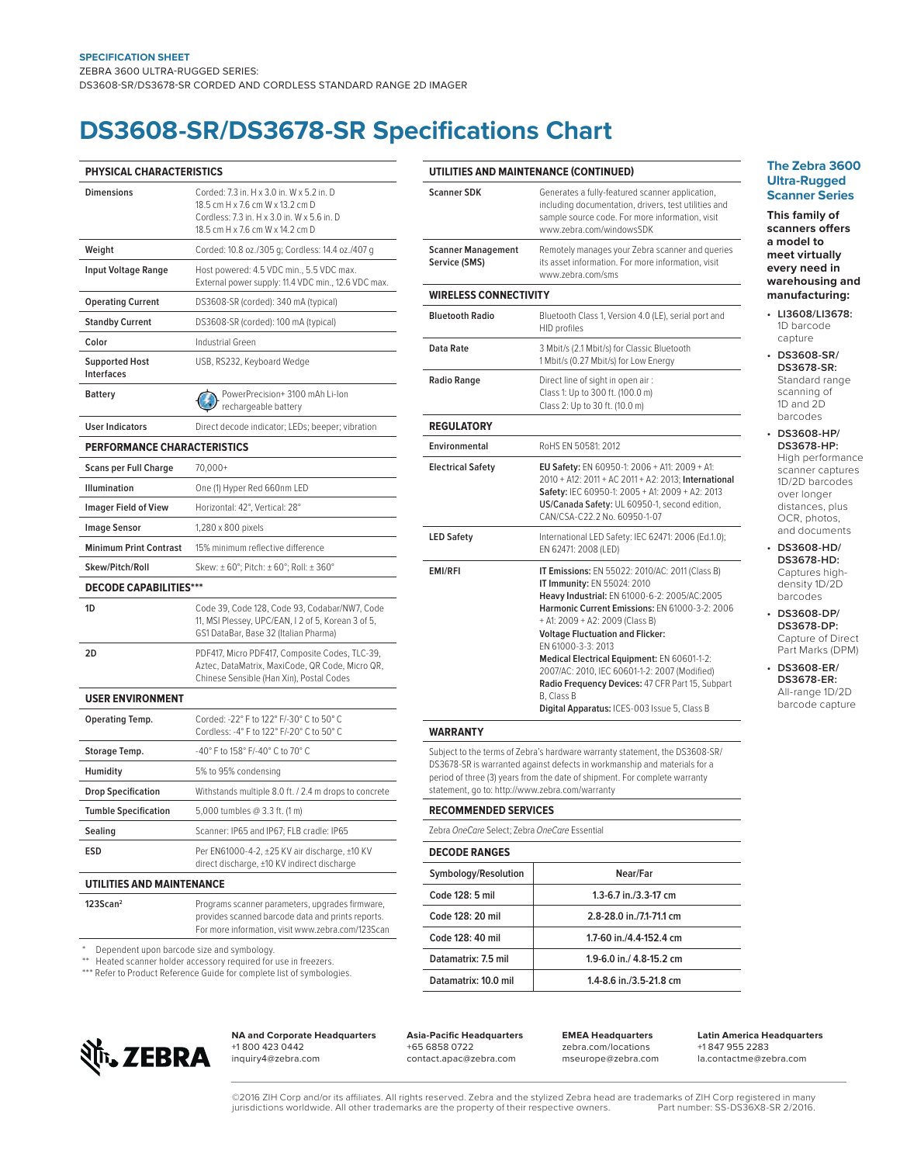### **DS3608-SR/DS3678-SR Speciications Chart**

| PHYSICAL CHARACTERISTICS            |                                                                                                                                                                  |
|-------------------------------------|------------------------------------------------------------------------------------------------------------------------------------------------------------------|
| <b>Dimensions</b>                   | Corded: 7.3 in. H x 3.0 in. W x 5.2 in. D<br>18.5 cm H x 7.6 cm W x 13.2 cm D<br>Cordless: 7.3 in. H x 3.0 in. W x 5.6 in. D<br>18.5 cm H x 7.6 cm W x 14.2 cm D |
| Weight                              | Corded: 10.8 oz./305 g; Cordless: 14.4 oz./407 g                                                                                                                 |
| <b>Input Voltage Range</b>          | Host powered: 4.5 VDC min., 5.5 VDC max.<br>External power supply: 11.4 VDC min., 12.6 VDC max.                                                                  |
| <b>Operating Current</b>            | DS3608-SR (corded): 340 mA (typical)                                                                                                                             |
| <b>Standby Current</b>              | DS3608-SR (corded): 100 mA (typical)                                                                                                                             |
| Color                               | Industrial Green                                                                                                                                                 |
| <b>Supported Host</b><br>Interfaces | USB, RS232, Keyboard Wedge                                                                                                                                       |
| Battery                             | PowerPrecision+ 3100 mAh Li-Ion<br>rechargeable battery                                                                                                          |
| <b>User Indicators</b>              | Direct decode indicator; LEDs; beeper; vibration                                                                                                                 |
| <b>PERFORMANCE CHARACTERISTICS</b>  |                                                                                                                                                                  |
| <b>Scans per Full Charge</b>        | $70,000+$                                                                                                                                                        |
| <b>Illumination</b>                 | One (1) Hyper Red 660nm LED                                                                                                                                      |
| <b>Imager Field of View</b>         | Horizontal: 42°, Vertical: 28°                                                                                                                                   |
| <b>Image Sensor</b>                 | 1,280 x 800 pixels                                                                                                                                               |
| <b>Minimum Print Contrast</b>       | 15% minimum reflective difference                                                                                                                                |
| Skew/Pitch/Roll                     | Skew: ±60°; Pitch: ±60°; Roll: ±360°                                                                                                                             |
| <b>DECODE CAPABILITIES***</b>       |                                                                                                                                                                  |
| 1D                                  | Code 39, Code 128, Code 93, Codabar/NW7, Code<br>11, MSI Plessey, UPC/EAN, I 2 of 5, Korean 3 of 5,<br>GS1 DataBar, Base 32 (Italian Pharma)                     |
| 2D                                  | PDF417, Micro PDF417, Composite Codes, TLC-39,<br>Aztec, DataMatrix, MaxiCode, QR Code, Micro QR,<br>Chinese Sensible (Han Xin), Postal Codes                    |
| <b>USER ENVIRONMENT</b>             |                                                                                                                                                                  |
| <b>Operating Temp.</b>              | Corded: -22° F to 122° F/-30° C to 50° C<br>Cordless: -4° F to 122° F/-20° C to 50° C                                                                            |
| Storage Temp.                       | -40° F to 158° F/-40° C to 70° C                                                                                                                                 |
| Humidity                            | 5% to 95% condensing                                                                                                                                             |
| <b>Drop Specification</b>           | Withstands multiple 8.0 ft. / 2.4 m drops to concrete                                                                                                            |
| <b>Tumble Specification</b>         | 5,000 tumbles @ 3.3 ft. (1 m)                                                                                                                                    |
| Sealing                             | Scanner: IP65 and IP67; FLB cradle: IP65                                                                                                                         |
| <b>ESD</b>                          | Per EN61000-4-2, ±25 KV air discharge, ±10 KV<br>direct discharge, ±10 KV indirect discharge                                                                     |
| UTILITIES AND MAINTENANCE           |                                                                                                                                                                  |
| 123Scan <sup>2</sup>                | Programs scanner parameters, upgrades firmware,<br>provides scanned barcode data and prints reports.                                                             |

| UTILITIES AND MAINTENANCE (CONTINUED)                                                                                                                                                                                                                                                                                                                                                |
|--------------------------------------------------------------------------------------------------------------------------------------------------------------------------------------------------------------------------------------------------------------------------------------------------------------------------------------------------------------------------------------|
| Generates a fully-featured scanner application,<br>including documentation, drivers, test utilities and<br>sample source code. For more information, visit<br>www.zebra.com/windowsSDK                                                                                                                                                                                               |
| Remotely manages your Zebra scanner and queries<br>its asset information. For more information, visit<br>www.zebra.com/sms                                                                                                                                                                                                                                                           |
| <b>WIRELESS CONNECTIVITY</b>                                                                                                                                                                                                                                                                                                                                                         |
| Bluetooth Class 1, Version 4.0 (LE), serial port and<br><b>HID profiles</b>                                                                                                                                                                                                                                                                                                          |
| 3 Mbit/s (2.1 Mbit/s) for Classic Bluetooth<br>1 Mbit/s (0.27 Mbit/s) for Low Energy                                                                                                                                                                                                                                                                                                 |
| Direct line of sight in open air:<br>Class 1: Up to 300 ft. (100.0 m)<br>Class 2: Up to 30 ft. (10.0 m)                                                                                                                                                                                                                                                                              |
|                                                                                                                                                                                                                                                                                                                                                                                      |
| RoHS EN 50581: 2012                                                                                                                                                                                                                                                                                                                                                                  |
| EU Safety: EN 60950-1: 2006 + A11: 2009 + A1:<br>2010 + A12: 2011 + AC 2011 + A2: 2013; International<br>Safety: IEC 60950-1: 2005 + A1: 2009 + A2: 2013<br>US/Canada Safety: UL 60950-1, second edition,<br>CAN/CSA-C22.2 No. 60950-1-07                                                                                                                                            |
| International LED Safety: IEC 62471: 2006 (Ed.1.0);<br>EN 62471: 2008 (LED)                                                                                                                                                                                                                                                                                                          |
| IT Emissions: EN 55022: 2010/AC: 2011 (Class B)<br>IT Immunity: EN 55024: 2010<br>Heavy Industrial: EN 61000-6-2: 2005/AC:2005<br>Harmonic Current Emissions: EN 61000-3-2: 2006<br>+ A1: 2009 + A2: 2009 (Class B)<br><b>Voltage Fluctuation and Flicker:</b><br>EN 61000-3-3: 2013<br>Medical Electrical Equipment: EN 60601-1-2:<br>2007/AC: 2010, IEC 60601-1-2: 2007 (Modified) |
|                                                                                                                                                                                                                                                                                                                                                                                      |

DS3678-SR is warranted against defects in workmanship and materials for a period of three (3) years from the date of shipment. For complete warranty statement, go to: http://www.zebra.com/warranty

**Recommended seRVices**

Zebra OneCare Select; Zebra OneCare Essential

| <b>DECODE RANGES</b> |                          |
|----------------------|--------------------------|
| Symbology/Resolution | Near/Far                 |
| Code 128: 5 mil      | 1.3-6.7 in./3.3-17 cm    |
| Code 128: 20 mil     | 2.8-28.0 in./7.1-71.1 cm |
| Code 128: 40 mil     | 1.7-60 in./4.4-152.4 cm  |
| Datamatrix: 7.5 mil  | 1.9-6.0 in./ 4.8-15.2 cm |
| Datamatrix: 10.0 mil | 1.4-8.6 in./3.5-21.8 cm  |

#### \* Dependent upon barcode size and symbology.

\*\* Heated scanner holder accessory required for use in freezers.

\*\*\* Refer to Product Reference Guide for complete list of symbologies.



**NA and Corporate Headquarters** +1 800 423 0442 inquiry4@zebra.com

For more information, visit www.zebra.com/123Scan

**asia-Paciic Headquarters** +65 6858 0722 contact.apac@zebra.com

**EMEa Headquarters** zebra.com/locations mseurope@zebra.com **Latin america Headquarters** +1 847 955 2283 la.contactme@zebra.com

**the Zebra 3600 Ultra-Rugged Scanner Series**

**this family of scanners ofers a model to meet virtually every need in warehousing and manufacturing:**

- **LI3608/LI3678:** 1D barcode capture
- **DS3608-SR/ DS3678-SR:** Standard range scanning of 1D and 2D barcodes
- **DS3608-HP/ DS3678-HP:**  High performance scanner captures 1D/2D barcodes over longer distances, plus OCR, photos, and documents
- **DS3608-HD/ DS3678-HD:** Captures highdensity 1D/2D barcodes

**• DS3608-DP/ DS3678-DP:**  Capture of Direct Part Marks (DPM)

**• DS3608-ER/ DS3678-ER:** All-range 1D/2D barcode capture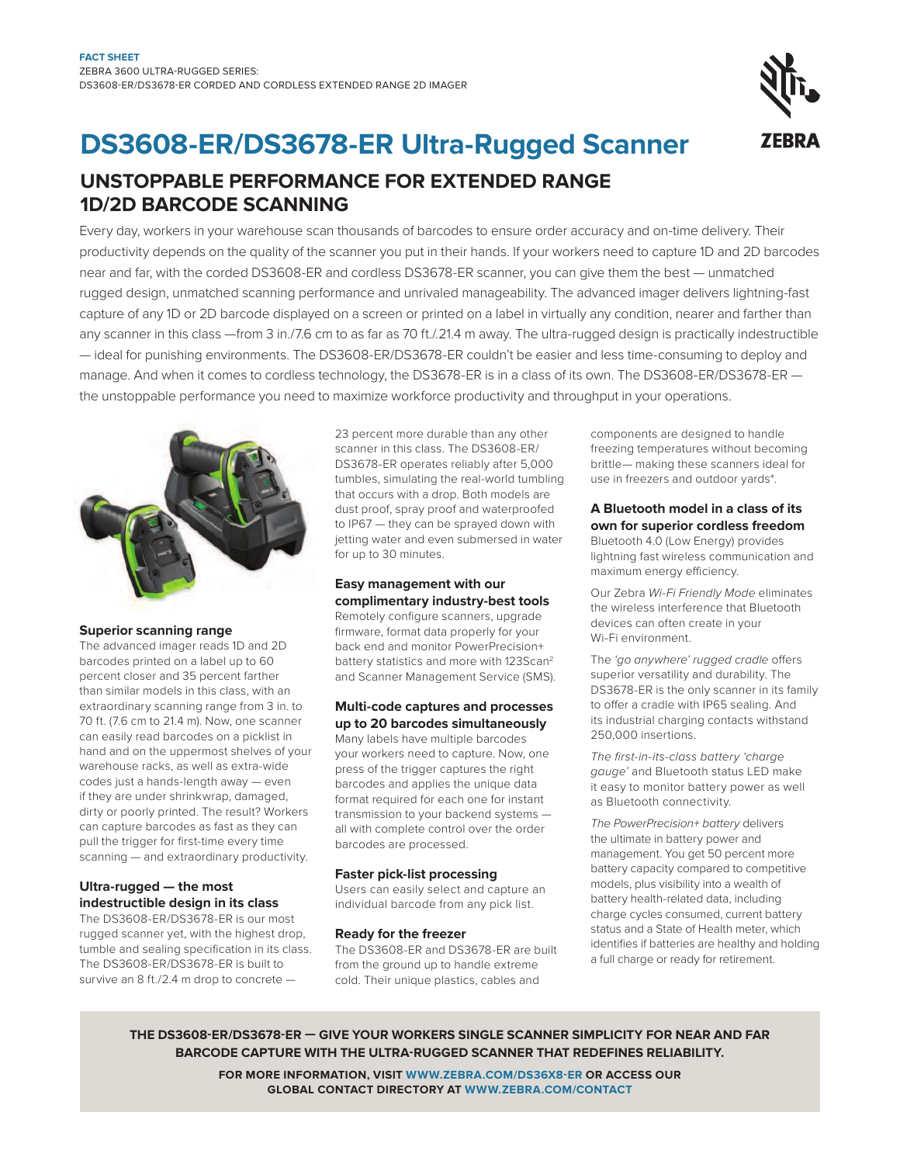## **DS3608-ER/DS3678-ER Ultra-Rugged Scanner**

**UnSToppABLE pERFoRMAnCE FoR EXTEnDED RAnGE 1D/2D BARCoDE SCAnnInG**

Every day, workers in your warehouse scan thousands of barcodes to ensure order accuracy and on-time delivery. Their productivity depends on the quality of the scanner you put in their hands. If your workers need to capture 1D and 2D barcodes near and far, with the corded DS3608-ER and cordless DS3678-ER scanner, you can give them the best — unmatched rugged design, unmatched scanning performance and unrivaled manageability. The advanced imager delivers lightning-fast capture of any 1D or 2D barcode displayed on a screen or printed on a label in virtually any condition, nearer and farther than any scanner in this class —from 3 in./7.6 cm to as far as 70 ft./.21.4 m away. The ultra-rugged design is practically indestructible — ideal for punishing environments. The DS3608-ER/DS3678-ER couldn't be easier and less time-consuming to deploy and manage. And when it comes to cordless technology, the DS3678-ER is in a class of its own. The DS3608-ER/DS3678-ER the unstoppable performance you need to maximize workforce productivity and throughput in your operations.



#### **Superior scanning range**

The advanced imager reads 1D and 2D barcodes printed on a label up to 60 percent closer and 35 percent farther than similar models in this class, with an extraordinary scanning range from 3 in. to 70 ft. (7.6 cm to 21.4 m). Now, one scanner can easily read barcodes on a picklist in hand and on the uppermost shelves of your warehouse racks, as well as extra-wide codes just a hands-length away — even if they are under shrinkwrap, damaged, dirty or poorly printed. The result? Workers can capture barcodes as fast as they can pull the trigger for first-time every time scanning — and extraordinary productivity.

#### **Ultra-rugged — the most indestructible design in its class**

The DS3608-ER/DS3678-ER is our most rugged scanner yet, with the highest drop, tumble and sealing specification in its class. The DS3608-ER/DS3678-ER is built to survive an 8 ft./2.4 m drop to concrete —

23 percent more durable than any other scanner in this class. The DS3608-ER/ DS3678-ER operates reliably after 5,000 tumbles, simulating the real-world tumbling that occurs with a drop. Both models are dust proof, spray proof and waterproofed to IP67 — they can be sprayed down with jetting water and even submersed in water for up to 30 minutes.

#### **Easy management with our complimentary industry-best tools**

Remotely configure scanners, upgrade irmware, format data properly for your back end and monitor PowerPrecision+ battery statistics and more with 123Scan<sup>2</sup> and Scanner Management Service (SMS).

#### **Multi-code captures and processes up to 20 barcodes simultaneously**

Many labels have multiple barcodes your workers need to capture. Now, one press of the trigger captures the right barcodes and applies the unique data format required for each one for instant transmission to your backend systems all with complete control over the order barcodes are processed.

#### **Faster pick-list processing**

Users can easily select and capture an individual barcode from any pick list.

#### **Ready for the freezer**

The DS3608-ER and DS3678-ER are built from the ground up to handle extreme cold. Their unique plastics, cables and

components are designed to handle freezing temperatures without becoming brittle— making these scanners ideal for use in freezers and outdoor yards\*.

#### **A Bluetooth model in a class of its own for superior cordless freedom**

Bluetooth 4.0 (Low Energy) provides lightning fast wireless communication and maximum energy efficiency.

Our Zebra Wi-Fi Friendly Mode eliminates the wireless interference that Bluetooth devices can often create in your Wi-Fi environment.

The 'go anywhere' rugged cradle offers superior versatility and durability. The DS3678-ER is the only scanner in its family to ofer a cradle with IP65 sealing. And its industrial charging contacts withstand 250,000 insertions.

The first-in-its-class battery 'charge gauge' and Bluetooth status LED make it easy to monitor battery power as well as Bluetooth connectivity.

The PowerPrecision+ battery delivers the ultimate in battery power and management. You get 50 percent more battery capacity compared to competitive models, plus visibility into a wealth of battery health-related data, including charge cycles consumed, current battery status and a State of Health meter, which identifies if batteries are healthy and holding a full charge or ready for retirement.

**THE DS3608-ER/DS3678-ER — GIVE YoUR WoRKERS SInGLE SCAnnER SIMpLICITY FoR nEAR AnD FAR BARCoDE CApTURE WITH THE ULTRA-RUGGED SCAnnER THAT REDEFInES RELIABILITY.**

> **FoR MoRE InFoRMATIon, VISIT WWW.ZEBRA.CoM/DS36X8-ER oR ACCESS oUR GLoBAL ConTACT DIRECToRY AT WWW.ZEBRA.CoM/ConTACT**

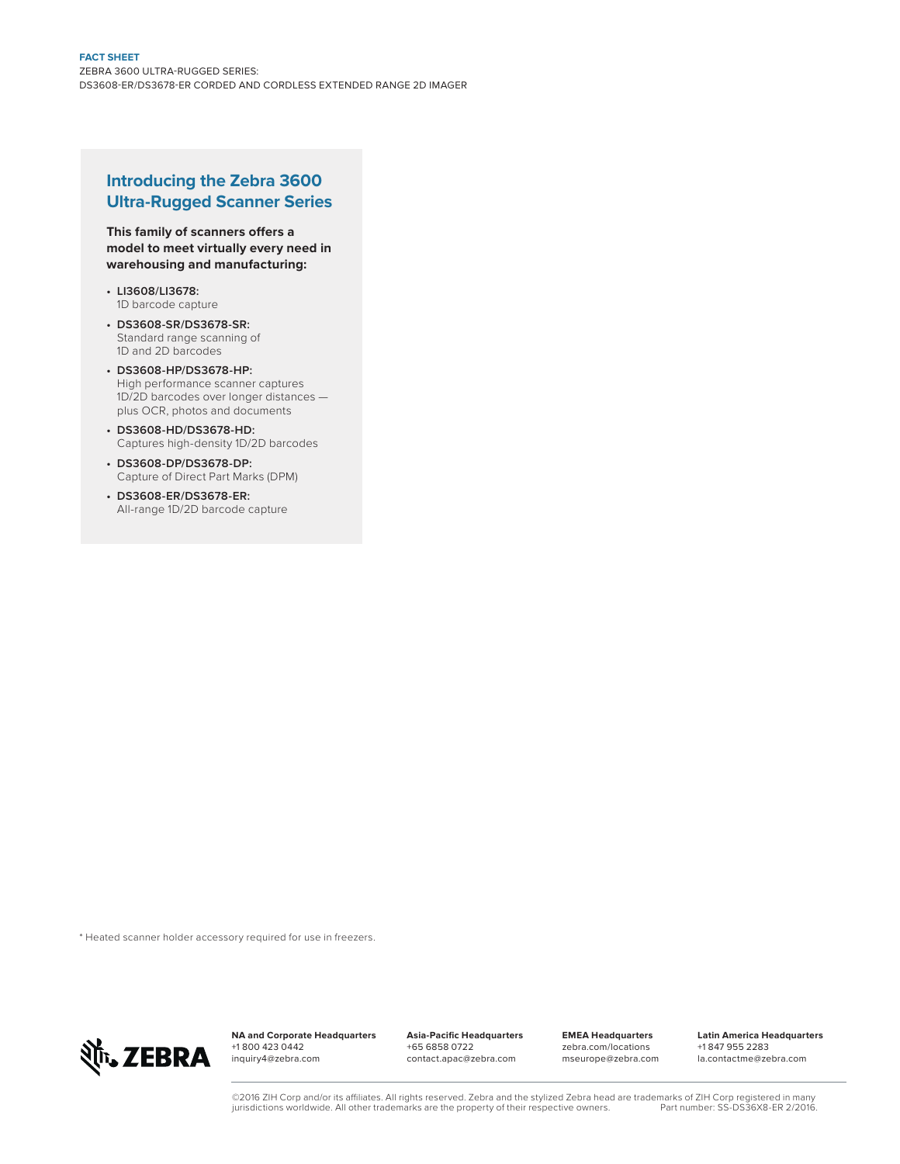#### **Introducing the Zebra 3600 Ultra-Rugged Scanner Series**

**This family of scanners ofers a model to meet virtually every need in warehousing and manufacturing:**

- **LI3608/LI3678:** 1D barcode capture
- **DS3608-SR/DS3678-SR:** Standard range scanning of 1D and 2D barcodes
- **DS3608-HP/DS3678-HP:**  High performance scanner captures 1D/2D barcodes over longer distances plus OCR, photos and documents
- **DS3608-HD/DS3678-HD:** Captures high-density 1D/2D barcodes
- **DS3608-DP/DS3678-DP:**  Capture of Direct Part Marks (DPM)
- **DS3608-ER/DS3678-ER:** All-range 1D/2D barcode capture

\* Heated scanner holder accessory required for use in freezers.



**nA and Corporate Headquarters** +1 800 423 0442 inquiry4@zebra.com

**Asia-paciic Headquarters** +65 6858 0722 contact.apac@zebra.com

**EMEA Headquarters** zebra.com/locations mseurope@zebra.com **Latin America Headquarters** +1 847 955 2283 la.contactme@zebra.com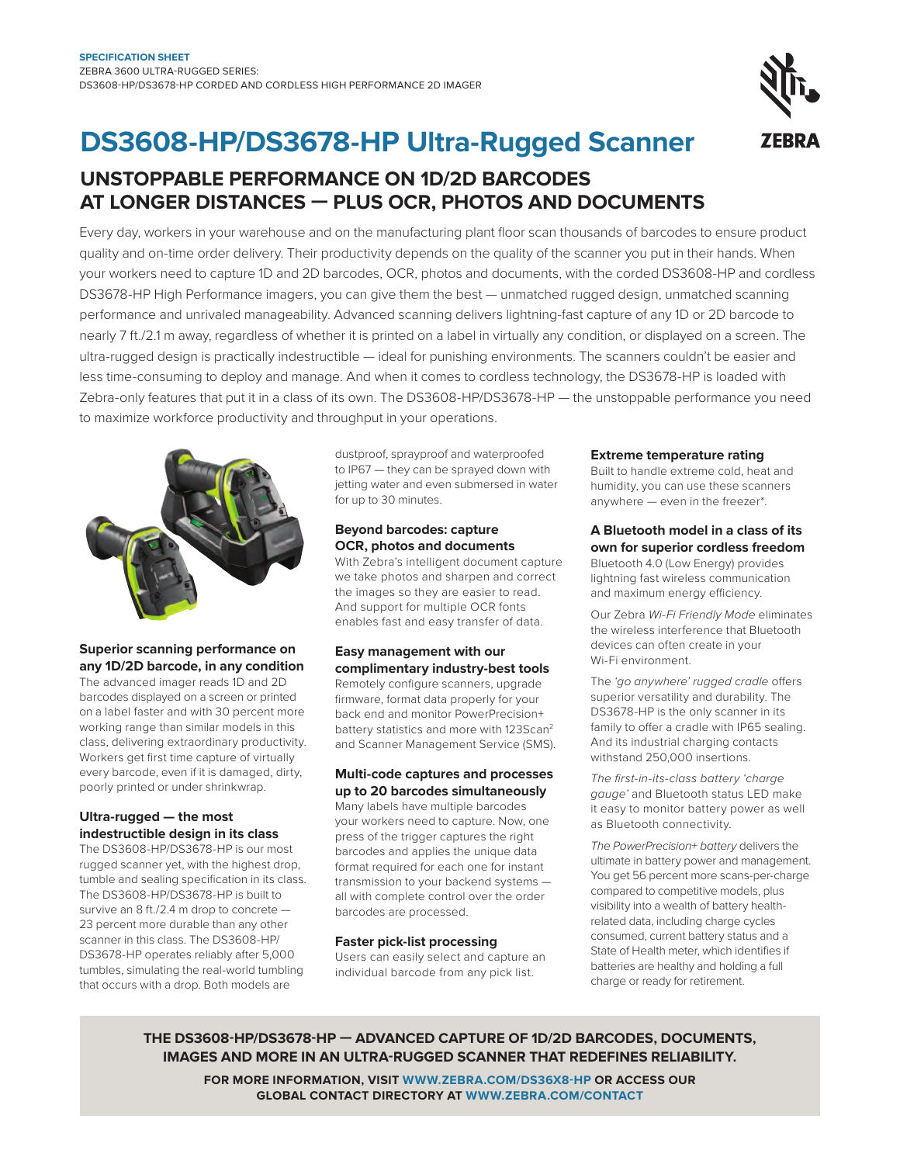## **DS3608-HP/DS3678-HP Ultra-Rugged Scanner**

### **UnStoPPaBLE PERfoRManCE on 1D/2D BaRCoDES at LonGER DiStanCES — PLUS oCR, PHotoS anD DoCUMEntS**

Every day, workers in your warehouse and on the manufacturing plant floor scan thousands of barcodes to ensure product quality and on-time order delivery. Their productivity depends on the quality of the scanner you put in their hands. When your workers need to capture 1D and 2D barcodes, OCR, photos and documents, with the corded DS3608-HP and cordless DS3678-HP High Performance imagers, you can give them the best — unmatched rugged design, unmatched scanning performance and unrivaled manageability. Advanced scanning delivers lightning-fast capture of any 1D or 2D barcode to nearly 7 ft./2.1 m away, regardless of whether it is printed on a label in virtually any condition, or displayed on a screen. The ultra-rugged design is practically indestructible — ideal for punishing environments. The scanners couldn't be easier and less time-consuming to deploy and manage. And when it comes to cordless technology, the DS3678-HP is loaded with Zebra-only features that put it in a class of its own. The DS3608-HP/DS3678-HP — the unstoppable performance you need to maximize workforce productivity and throughput in your operations.



#### **Superior scanning performance on any 1D/2D barcode, in any condition**

The advanced imager reads 1D and 2D barcodes displayed on a screen or printed on a label faster and with 30 percent more working range than similar models in this class, delivering extraordinary productivity. Workers get first time capture of virtually every barcode, even if it is damaged, dirty, poorly printed or under shrinkwrap.

#### **Ultra-rugged — the most indestructible design in its class**

The DS3608-HP/DS3678-HP is our most rugged scanner yet, with the highest drop, tumble and sealing specification in its class. The DS3608-HP/DS3678-HP is built to survive an 8 ft./2.4 m drop to concrete — 23 percent more durable than any other scanner in this class. The DS3608-HP/ DS3678-HP operates reliably after 5,000 tumbles, simulating the real-world tumbling that occurs with a drop. Both models are

dustproof, sprayproof and waterproofed to IP67 — they can be sprayed down with jetting water and even submersed in water for up to 30 minutes.

#### **Beyond barcodes: capture oCR, photos and documents**

With Zebra's intelligent document capture we take photos and sharpen and correct the images so they are easier to read. And support for multiple OCR fonts enables fast and easy transfer of data.

#### **Easy management with our complimentary industry-best tools**

Remotely configure scanners, upgrade firmware, format data properly for your back end and monitor PowerPrecision+ battery statistics and more with 123Scan<sup>2</sup> and Scanner Management Service (SMS).

#### **Multi-code captures and processes up to 20 barcodes simultaneously**

Many labels have multiple barcodes your workers need to capture. Now, one press of the trigger captures the right barcodes and applies the unique data format required for each one for instant transmission to your backend systems all with complete control over the order barcodes are processed.

#### **faster pick-list processing**

Users can easily select and capture an individual barcode from any pick list.

#### **Extreme temperature rating**

Built to handle extreme cold, heat and humidity, you can use these scanners anywhere — even in the freezer\*.

#### **a Bluetooth model in a class of its own for superior cordless freedom**

Bluetooth 4.0 (Low Energy) provides lightning fast wireless communication and maximum energy efficiency.

Our Zebra Wi-Fi Friendly Mode eliminates the wireless interference that Bluetooth devices can often create in your Wi-Fi environment.

The 'go anywhere' rugged cradle offers superior versatility and durability. The DS3678-HP is the only scanner in its family to offer a cradle with IP65 sealing. And its industrial charging contacts withstand 250,000 insertions.

The first-in-its-class battery 'charge gauge' and Bluetooth status LED make it easy to monitor battery power as well as Bluetooth connectivity.

The PowerPrecision+ battery delivers the ultimate in battery power and management. You get 56 percent more scans-per-charge compared to competitive models, plus visibility into a wealth of battery healthrelated data, including charge cycles consumed, current battery status and a State of Health meter, which identifies if batteries are healthy and holding a full charge or ready for retirement.

**tHE DS3608-HP/DS3678-HP — aDVanCED CaPtURE of 1D/2D BaRCoDES, DoCUMEntS, iMaGES anD MoRE in an ULtRa-RUGGED SCannER tHat REDEfinES RELiaBiLitY.**

**foR MoRE infoRMation, ViSit WWW.ZEBRa.CoM/DS36X8-HP oR aCCESS oUR GLoBaL ContaCt DiRECtoRY at WWW.ZEBRa.CoM/ContaCt**

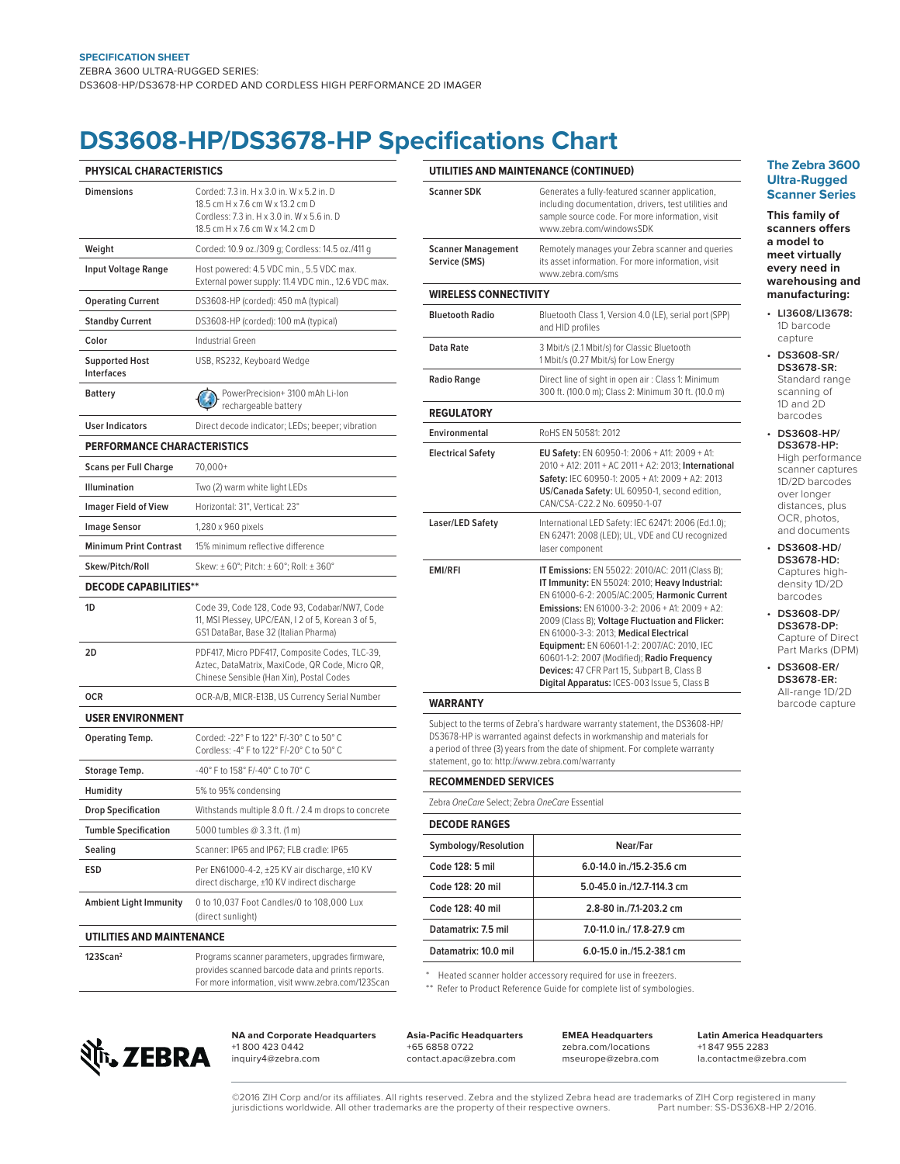## **DS3608-HP/DS3678-HP Specifications Chart**

| PHYSICAL CHARACTERISTICS                   |                                                                                                                                                                  |
|--------------------------------------------|------------------------------------------------------------------------------------------------------------------------------------------------------------------|
| <b>Dimensions</b>                          | Corded: 7.3 in, H x 3.0 in, W x 5.2 in, D<br>18.5 cm H x 7.6 cm W x 13.2 cm D<br>Cordless: 7.3 in. H x 3.0 in. W x 5.6 in. D<br>18.5 cm H x 7.6 cm W x 14.2 cm D |
| Weight                                     | Corded: 10.9 oz./309 g; Cordless: 14.5 oz./411 g                                                                                                                 |
| <b>Input Voltage Range</b>                 | Host powered: 4.5 VDC min., 5.5 VDC max.<br>External power supply: 11.4 VDC min., 12.6 VDC max.                                                                  |
| <b>Operating Current</b>                   | DS3608-HP (corded): 450 mA (typical)                                                                                                                             |
| <b>Standby Current</b>                     | DS3608-HP (corded): 100 mA (typical)                                                                                                                             |
| Color                                      | Industrial Green                                                                                                                                                 |
| <b>Supported Host</b><br><b>Interfaces</b> | USB, RS232, Keyboard Wedge                                                                                                                                       |
| <b>Battery</b>                             | PowerPrecision+ 3100 mAh Li-Ion<br>rechargeable battery                                                                                                          |
| <b>User Indicators</b>                     | Direct decode indicator; LEDs; beeper; vibration                                                                                                                 |
| PERFORMANCE CHARACTERISTICS                |                                                                                                                                                                  |
| <b>Scans per Full Charge</b>               | 70,000+                                                                                                                                                          |
| <b>Illumination</b>                        | Two (2) warm white light LEDs                                                                                                                                    |
| <b>Imager Field of View</b>                | Horizontal: 31°, Vertical: 23°                                                                                                                                   |
| <b>Image Sensor</b>                        | 1,280 x 960 pixels                                                                                                                                               |
| <b>Minimum Print Contrast</b>              | 15% minimum reflective difference                                                                                                                                |
| Skew/Pitch/Roll                            | Skew: ± 60°; Pitch: ± 60°; Roll: ± 360°                                                                                                                          |
| <b>DECODE CAPABILITIES**</b>               |                                                                                                                                                                  |
| 1D                                         | Code 39, Code 128, Code 93, Codabar/NW7, Code<br>11, MSI Plessey, UPC/EAN, I 2 of 5, Korean 3 of 5,<br>GS1 DataBar, Base 32 (Italian Pharma)                     |
| 2D                                         | PDF417, Micro PDF417, Composite Codes, TLC-39,<br>Aztec, DataMatrix, MaxiCode, QR Code, Micro QR,<br>Chinese Sensible (Han Xin), Postal Codes                    |
| <b>OCR</b>                                 | OCR-A/B, MICR-E13B, US Currency Serial Number                                                                                                                    |
| <b>USER ENVIRONMENT</b>                    |                                                                                                                                                                  |
| Operating Temp.                            | Corded: -22° F to 122° F/-30° C to 50° C<br>Cordless: -4° F to 122° F/-20° C to 50° C                                                                            |
| Storage Temp.                              | -40° F to 158° F/-40° C to 70° C                                                                                                                                 |
| Humidity                                   | 5% to 95% condensing                                                                                                                                             |
| <b>Drop Specification</b>                  | Withstands multiple 8.0 ft. / 2.4 m drops to concrete                                                                                                            |
| <b>Tumble Specification</b>                | 5000 tumbles @ 3.3 ft. (1 m)                                                                                                                                     |
| Sealing                                    | Scanner: IP65 and IP67; FLB cradle: IP65                                                                                                                         |
| ESD                                        | Per EN61000-4-2, ±25 KV air discharge, ±10 KV<br>direct discharge, ±10 KV indirect discharge                                                                     |
| <b>Ambient Light Immunity</b>              | 0 to 10,037 Foot Candles/0 to 108,000 Lux<br>(direct sunlight)                                                                                                   |
| <b>UTILITIES AND MAINTENANCE</b>           |                                                                                                                                                                  |
| 123Scan <sup>2</sup>                       | Programs scanner parameters, upgrades firmware,<br>provides scanned barcode data and prints reports.<br>For more information, visit www.zebra.com/123Scan        |

| UTILITIES AND MAINTENANCE (CONTINUED)                                                                                                                                                                                                                                                                                                                    |
|----------------------------------------------------------------------------------------------------------------------------------------------------------------------------------------------------------------------------------------------------------------------------------------------------------------------------------------------------------|
| Generates a fully-featured scanner application,<br>including documentation, drivers, test utilities and<br>sample source code. For more information, visit<br>www.zebra.com/windowsSDK                                                                                                                                                                   |
| Remotely manages your Zebra scanner and queries<br>its asset information. For more information, visit<br>www.zebra.com/sms                                                                                                                                                                                                                               |
| <b>WIRELESS CONNECTIVITY</b>                                                                                                                                                                                                                                                                                                                             |
| Bluetooth Class 1, Version 4.0 (LE), serial port (SPP)<br>and HID profiles                                                                                                                                                                                                                                                                               |
| 3 Mbit/s (2.1 Mbit/s) for Classic Bluetooth<br>1 Mbit/s (0.27 Mbit/s) for Low Energy                                                                                                                                                                                                                                                                     |
| Direct line of sight in open air : Class 1: Minimum<br>300 ft. (100.0 m); Class 2: Minimum 30 ft. (10.0 m)                                                                                                                                                                                                                                               |
|                                                                                                                                                                                                                                                                                                                                                          |
| RoHS FN 50581: 2012                                                                                                                                                                                                                                                                                                                                      |
| EU Safety: EN 60950-1: 2006 + A11: 2009 + A1:<br>2010 + A12: 2011 + AC 2011 + A2: 2013; International<br>Safety: IEC 60950-1: 2005 + A1: 2009 + A2: 2013<br>US/Canada Safety: UL 60950-1, second edition,<br>CAN/CSA-C22.2 No. 60950-1-07                                                                                                                |
| International LED Safety: IEC 62471: 2006 (Ed.1.0);<br>EN 62471: 2008 (LED); UL, VDE and CU recognized<br>laser component                                                                                                                                                                                                                                |
| IT Emissions: EN 55022: 2010/AC: 2011 (Class B);<br>IT Immunity: EN 55024: 2010; Heavy Industrial:<br>EN 61000-6-2: 2005/AC:2005: Harmonic Current<br><b>Emissions:</b> EN 61000-3-2: 2006 + A1: 2009 + A2:<br>2009 (Class B); Voltage Fluctuation and Flicker:<br>EN 61000-3-3: 2013: Medical Electrical<br>Equipment: EN 60601-1-2: 2007/AC: 2010, IEC |
|                                                                                                                                                                                                                                                                                                                                                          |

Subject to the terms of Zebra's hardware warranty statement, the DS3608-HP/ DS3678-HP is warranted against defects in workmanship and materials for a period of three (3) years from the date of shipment. For complete warranty statement, go to: http://www.zebra.com/warranty

| <b>RECOMMENDED SERVICES</b>                   |                            |  |
|-----------------------------------------------|----------------------------|--|
| Zebra OneCare Select: Zebra OneCare Essential |                            |  |
| <b>DECODE RANGES</b>                          |                            |  |
| Symbology/Resolution                          | Near/Far                   |  |
| Code 128: 5 mil                               | 6.0-14.0 in./15.2-35.6 cm  |  |
| Code 128: 20 mil                              | 5.0-45.0 in /12.7-114.3 cm |  |
| Code 128: 40 mil                              | 2.8-80 in./7.1-203.2 cm    |  |
| Datamatrix: 7.5 mil                           | 7.0-11.0 in./ 17.8-27.9 cm |  |
| Datamatrix: 10.0 mil                          | 6.0-15.0 in./15.2-38.1 cm  |  |
|                                               |                            |  |

\* Heated scanner holder accessory required for use in freezers.

\*\* Refer to Product Reference Guide for complete list of symbologies.



**NA and Corporate Headquarters** +1 800 423 0442 inquiry4@zebra.com

**asia-Paciic Headquarters** +65 6858 0722 contact.apac@zebra.com

**EMEa Headquarters** zebra.com/locations mseurope@zebra.com

**Latin america Headquarters** +1 847 955 2283 la.contactme@zebra.com

#### **the Zebra 3600 Ultra-Rugged Scanner Series**

**this family of scanners ofers a model to meet virtually every need in warehousing and manufacturing:**

- **LI3608/LI3678:** 1D barcode capture
- **DS3608-SR/ DS3678-SR:** Standard range scanning of 1D and 2D barcodes
- **DS3608-HP/ DS3678-HP:**  High performance scanner captures 1D/2D barcodes over longer distances, plus OCR, photos, and documents
- **DS3608-HD/ DS3678-HD:** Captures highdensity 1D/2D barcodes

**• DS3608-DP/ DS3678-DP:**  Capture of Direct Part Marks (DPM)

**• DS3608-ER/ DS3678-ER:** All-range 1D/2D barcode capture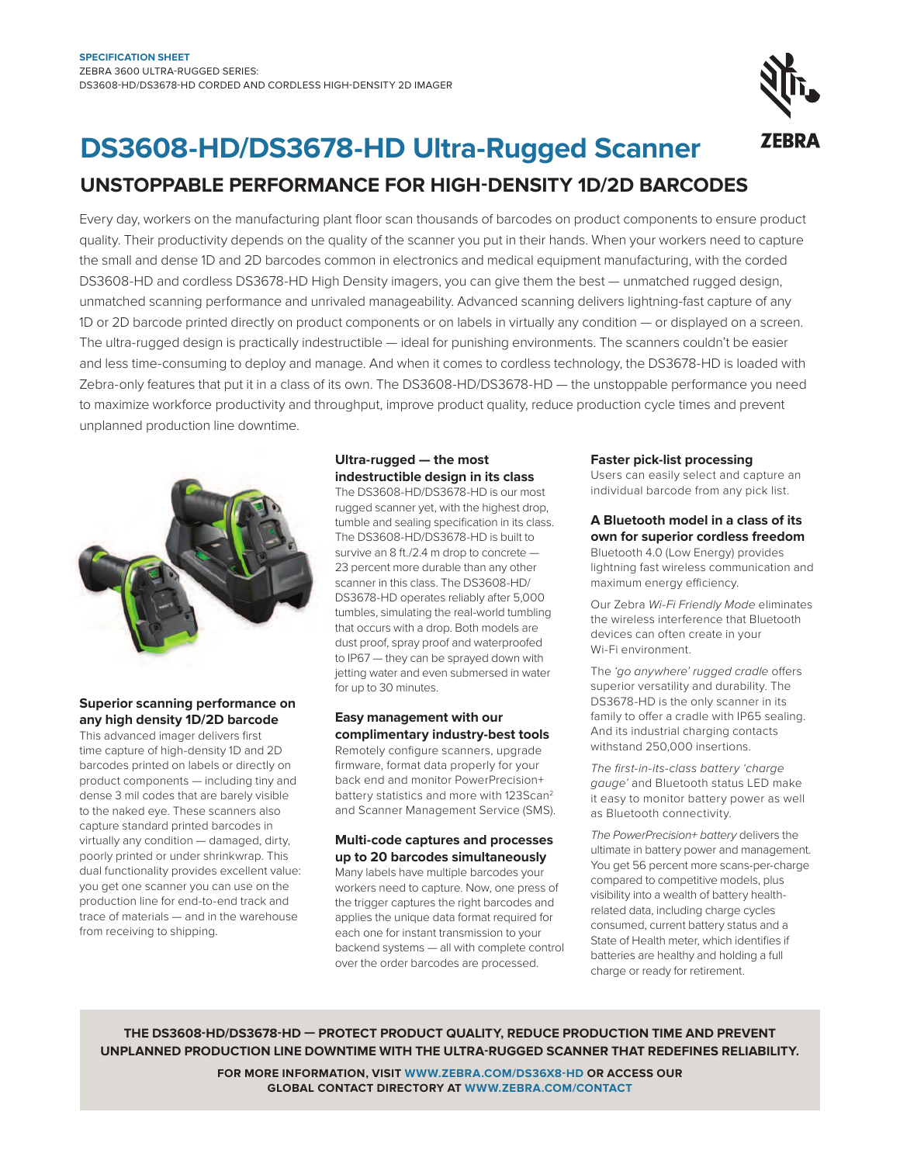

## **DS3608-HD/DS3678-HD Ultra-Rugged Scanner**

### **UnStoPPaBLE PERfoRManCE foR HiGH-DEnSitY 1D/2D BaRCoDES**

Every day, workers on the manufacturing plant loor scan thousands of barcodes on product components to ensure product quality. Their productivity depends on the quality of the scanner you put in their hands. When your workers need to capture the small and dense 1D and 2D barcodes common in electronics and medical equipment manufacturing, with the corded DS3608-HD and cordless DS3678-HD High Density imagers, you can give them the best — unmatched rugged design, unmatched scanning performance and unrivaled manageability. Advanced scanning delivers lightning-fast capture of any 1D or 2D barcode printed directly on product components or on labels in virtually any condition — or displayed on a screen. The ultra-rugged design is practically indestructible — ideal for punishing environments. The scanners couldn't be easier and less time-consuming to deploy and manage. And when it comes to cordless technology, the DS3678-HD is loaded with Zebra-only features that put it in a class of its own. The DS3608-HD/DS3678-HD — the unstoppable performance you need to maximize workforce productivity and throughput, improve product quality, reduce production cycle times and prevent unplanned production line downtime.



#### **Superior scanning performance on any high density 1D/2D barcode**

This advanced imager delivers first time capture of high-density 1D and 2D barcodes printed on labels or directly on product components — including tiny and dense 3 mil codes that are barely visible to the naked eye. These scanners also capture standard printed barcodes in virtually any condition — damaged, dirty, poorly printed or under shrinkwrap. This dual functionality provides excellent value: you get one scanner you can use on the production line for end-to-end track and trace of materials — and in the warehouse from receiving to shipping.

#### **Ultra-rugged — the most indestructible design in its class**

The DS3608-HD/DS3678-HD is our most rugged scanner yet, with the highest drop, tumble and sealing specification in its class. The DS3608-HD/DS3678-HD is built to survive an 8 ft./2.4 m drop to concrete — 23 percent more durable than any other scanner in this class. The DS3608-HD/ DS3678-HD operates reliably after 5,000 tumbles, simulating the real-world tumbling that occurs with a drop. Both models are dust proof, spray proof and waterproofed to IP67 — they can be sprayed down with jetting water and even submersed in water for up to 30 minutes.

#### **Easy management with our complimentary industry-best tools**

Remotely configure scanners, upgrade irmware, format data properly for your back end and monitor PowerPrecision+ battery statistics and more with 123Scan<sup>2</sup> and Scanner Management Service (SMS).

#### **Multi-code captures and processes up to 20 barcodes simultaneously**

Many labels have multiple barcodes your workers need to capture. Now, one press of the trigger captures the right barcodes and applies the unique data format required for each one for instant transmission to your backend systems — all with complete control over the order barcodes are processed.

#### **faster pick-list processing**

Users can easily select and capture an individual barcode from any pick list.

#### **a Bluetooth model in a class of its own for superior cordless freedom**

Bluetooth 4.0 (Low Energy) provides lightning fast wireless communication and maximum energy efficiency.

Our Zebra Wi-Fi Friendly Mode eliminates the wireless interference that Bluetooth devices can often create in your Wi-Fi environment.

The 'go anywhere' rugged cradle offers superior versatility and durability. The DS3678-HD is the only scanner in its family to offer a cradle with IP65 sealing. And its industrial charging contacts withstand 250,000 insertions.

The first-in-its-class battery 'charge gauge' and Bluetooth status LED make it easy to monitor battery power as well as Bluetooth connectivity.

The PowerPrecision+ battery delivers the ultimate in battery power and management. You get 56 percent more scans-per-charge compared to competitive models, plus visibility into a wealth of battery healthrelated data, including charge cycles consumed, current battery status and a State of Health meter, which identifies if batteries are healthy and holding a full charge or ready for retirement.

**tHE DS3608-HD/DS3678-HD — PRotECt PRoDUCt QUaLitY, REDUCE PRoDUCtion tiME anD PREVEnt UnPLannED PRoDUCtion LinE DoWntiME WitH tHE ULtRa-RUGGED SCannER tHat REDEfinES RELiaBiLitY.**

> **foR MoRE infoRMation, ViSit WWW.ZEBRa.CoM/DS36X8-HD oR aCCESS oUR GLoBaL ContaCt DiRECtoRY at WWW.ZEBRa.CoM/ContaCt**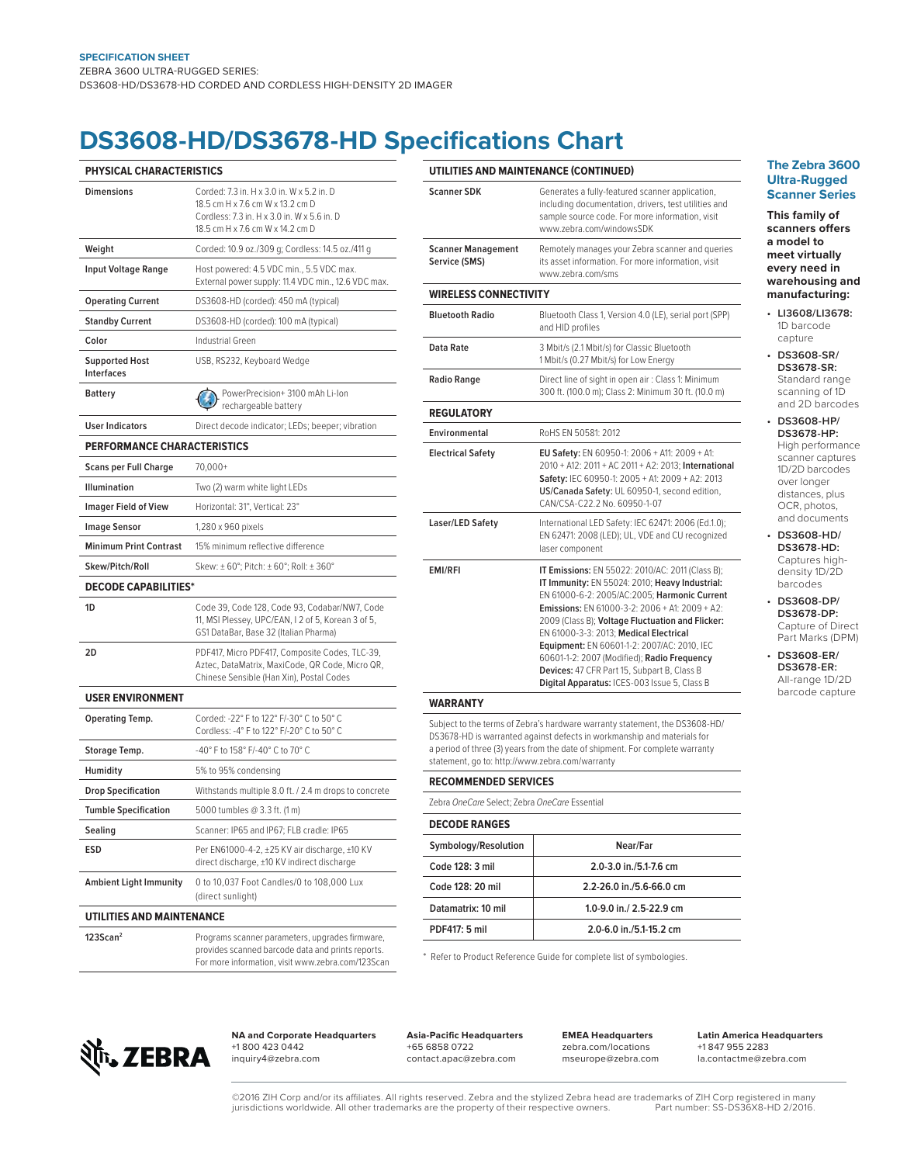## **DS3608-HD/DS3678-HD Specifications Chart**

| PHYSICAL CHARACTERISTICS                   |                                                                                                                                                                  |
|--------------------------------------------|------------------------------------------------------------------------------------------------------------------------------------------------------------------|
| <b>Dimensions</b>                          | Corded: 7.3 in, H x 3.0 in, W x 5.2 in, D<br>18.5 cm H x 7.6 cm W x 13.2 cm D<br>Cordless: 7.3 in. H x 3.0 in. W x 5.6 in. D<br>18.5 cm H x 7.6 cm W x 14.2 cm D |
| Weight                                     | Corded: 10.9 oz./309 g; Cordless: 14.5 oz./411 g                                                                                                                 |
| <b>Input Voltage Range</b>                 | Host powered: 4.5 VDC min., 5.5 VDC max.<br>External power supply: 11.4 VDC min., 12.6 VDC max.                                                                  |
| <b>Operating Current</b>                   | DS3608-HD (corded): 450 mA (typical)                                                                                                                             |
| <b>Standby Current</b>                     | DS3608-HD (corded): 100 mA (typical)                                                                                                                             |
| Color                                      | Industrial Green                                                                                                                                                 |
| <b>Supported Host</b><br><b>Interfaces</b> | USB, RS232, Keyboard Wedge                                                                                                                                       |
| <b>Battery</b>                             | PowerPrecision+ 3100 mAh Li-Ion<br>rechargeable battery                                                                                                          |
| <b>User Indicators</b>                     | Direct decode indicator; LEDs; beeper; vibration                                                                                                                 |
| <b>PERFORMANCE CHARACTERISTICS</b>         |                                                                                                                                                                  |
| <b>Scans per Full Charge</b>               | $70.000+$                                                                                                                                                        |
| Illumination                               | Two (2) warm white light LEDs                                                                                                                                    |
| <b>Imager Field of View</b>                | Horizontal: 31°, Vertical: 23°                                                                                                                                   |
| <b>Image Sensor</b>                        | 1,280 x 960 pixels                                                                                                                                               |
| <b>Minimum Print Contrast</b>              | 15% minimum reflective difference                                                                                                                                |
| Skew/Pitch/Roll                            | Skew: ± 60°; Pitch: ± 60°; Roll: ± 360°                                                                                                                          |
| <b>DECODE CAPABILITIES*</b>                |                                                                                                                                                                  |
| 1D                                         | Code 39, Code 128, Code 93, Codabar/NW7, Code<br>11, MSI Plessey, UPC/EAN, I 2 of 5, Korean 3 of 5,<br>GS1 DataBar, Base 32 (Italian Pharma)                     |
| 2D                                         | PDF417, Micro PDF417, Composite Codes, TLC-39,<br>Aztec, DataMatrix, MaxiCode, QR Code, Micro QR,<br>Chinese Sensible (Han Xin), Postal Codes                    |
| <b>USER ENVIRONMENT</b>                    |                                                                                                                                                                  |
| Operating Temp.                            | Corded: -22° F to 122° F/-30° C to 50° C<br>Cordless: -4° F to 122° F/-20° C to 50° C                                                                            |
| Storage Temp.                              | -40° F to 158° F/-40° C to 70° C                                                                                                                                 |
| Humidity                                   | 5% to 95% condensing                                                                                                                                             |
| <b>Drop Specification</b>                  | Withstands multiple 8.0 ft. / 2.4 m drops to concrete                                                                                                            |
| <b>Tumble Specification</b>                | 5000 tumbles @ 3.3 ft. (1 m)                                                                                                                                     |
| Sealing                                    | Scanner: IP65 and IP67; FLB cradle: IP65                                                                                                                         |
| <b>ESD</b>                                 | Per EN61000-4-2, ±25 KV air discharge, ±10 KV<br>direct discharge, ±10 KV indirect discharge                                                                     |
| <b>Ambient Light Immunity</b>              | 0 to 10,037 Foot Candles/0 to 108,000 Lux<br>(direct sunlight)                                                                                                   |
| UTILITIES AND MAINTENANCE                  |                                                                                                                                                                  |
| 123Scan <sup>2</sup>                       | Programs scanner parameters, upgrades firmware,<br>provides scanned barcode data and prints reports.                                                             |

| <b>Scanner SDK</b>                         | Generates a fully-featured scanner application,<br>including documentation, drivers, test utilities and<br>sample source code. For more information, visit<br>www.zebra.com/windowsSDK                                                                                                                                                                                                                                                                                                                 |
|--------------------------------------------|--------------------------------------------------------------------------------------------------------------------------------------------------------------------------------------------------------------------------------------------------------------------------------------------------------------------------------------------------------------------------------------------------------------------------------------------------------------------------------------------------------|
| <b>Scanner Management</b><br>Service (SMS) | Remotely manages your Zebra scanner and queries<br>its asset information. For more information, visit<br>www.zebra.com/sms                                                                                                                                                                                                                                                                                                                                                                             |
| <b>WIRELESS CONNECTIVITY</b>               |                                                                                                                                                                                                                                                                                                                                                                                                                                                                                                        |
| <b>Bluetooth Radio</b>                     | Bluetooth Class 1, Version 4.0 (LE), serial port (SPP)<br>and HID profiles                                                                                                                                                                                                                                                                                                                                                                                                                             |
| Data Rate                                  | 3 Mbit/s (2.1 Mbit/s) for Classic Bluetooth<br>1 Mbit/s (0.27 Mbit/s) for Low Energy                                                                                                                                                                                                                                                                                                                                                                                                                   |
| <b>Radio Range</b>                         | Direct line of sight in open air: Class 1: Minimum<br>300 ft. (100.0 m); Class 2: Minimum 30 ft. (10.0 m)                                                                                                                                                                                                                                                                                                                                                                                              |
| <b>REGULATORY</b>                          |                                                                                                                                                                                                                                                                                                                                                                                                                                                                                                        |
| Environmental                              | RoHS FN 50581: 2012                                                                                                                                                                                                                                                                                                                                                                                                                                                                                    |
| <b>Electrical Safety</b>                   | EU Safety: EN 60950-1: 2006 + A11: 2009 + A1:<br>2010 + A12: 2011 + AC 2011 + A2: 2013: International<br>Safety: IEC 60950-1: 2005 + A1: 2009 + A2: 2013<br>US/Canada Safety: UL 60950-1, second edition,<br>CAN/CSA-C22 2 No 60950-1-07                                                                                                                                                                                                                                                               |
| Laser/LED Safety                           | International LED Safety: IEC 62471: 2006 (Ed.1.0);<br>EN 62471: 2008 (LED); UL, VDE and CU recognized<br>laser component                                                                                                                                                                                                                                                                                                                                                                              |
| <b>EMI/RFI</b>                             | IT Emissions: EN 55022: 2010/AC: 2011 (Class B);<br>IT Immunity: EN 55024: 2010; Heavy Industrial:<br>EN 61000-6-2: 2005/AC:2005; Harmonic Current<br><b>Emissions:</b> FN 61000-3-2: 2006 + A1: 2009 + A2:<br>2009 (Class B); Voltage Fluctuation and Flicker:<br>EN 61000-3-3: 2013; Medical Electrical<br>Equipment: EN 60601-1-2: 2007/AC: 2010, IEC<br>60601-1-2: 2007 (Modified); Radio Frequency<br>Devices: 47 CFR Part 15, Subpart B, Class B<br>Digital Apparatus: ICES-003 Issue 5, Class B |

Subject to the terms of Zebra's hardware warranty statement, the DS3608-HD/ DS3678-HD is warranted against defects in workmanship and materials for a period of three (3) years from the date of shipment. For complete warranty statement, go to: http://www.zebra.com/warranty

### **Recommended seRVices** Zebra OneCare Select; Zebra OneCare Essential **decode Ranges**

| Symbology/Resolution | Near/Far                       |
|----------------------|--------------------------------|
| Code 128: 3 mil      | $2.0 - 3.0$ in $/5.1 - 7.6$ cm |
| Code 128: 20 mil     | 2.2-26.0 in./5.6-66.0 cm       |
| Datamatrix: 10 mil   | 1.0-9.0 in./ 2.5-22.9 cm       |
| PDF417: 5 mil        | 2.0-6.0 in./5.1-15.2 cm        |
|                      |                                |

\* Refer to Product Reference Guide for complete list of symbologies.



**NA and Corporate Headquarters** +1 800 423 0442 inquiry4@zebra.com

For more information, visit www.zebra.com/123Scan

**asia-Paciic Headquarters** +65 6858 0722 contact.apac@zebra.com

**EMEa Headquarters** zebra.com/locations mseurope@zebra.com **Latin america Headquarters** +1 847 955 2283 la.contactme@zebra.com

#### **the Zebra 3600 Ultra-Rugged Scanner Series**

**this family of scanners ofers a model to meet virtually every need in warehousing and manufacturing:**

- **LI3608/LI3678:** 1D barcode capture
- **DS3608-SR/ DS3678-SR:** Standard range scanning of 1D and 2D barcodes
- **DS3608-HP/ DS3678-HP:**  High performance scanner captures 1D/2D barcodes over longer distances, plus OCR, photos, and documents
- **DS3608-HD/ DS3678-HD:** Captures highdensity 1D/2D barcodes
- **DS3608-DP/ DS3678-DP:**  Capture of Direct Part Marks (DPM)
- **DS3608-ER/ DS3678-ER:** All-range 1D/2D barcode capture

©2016 ZIH Corp and/or its affiliates. All rights reserved. Zebra and the stylized Zebra head are trademarks of ZIH Corp registered in many<br>jurisdictions worldwide. All other trademarks are the property of their respective jurisdictions worldwide. All other trademarks are the property of their respective owners.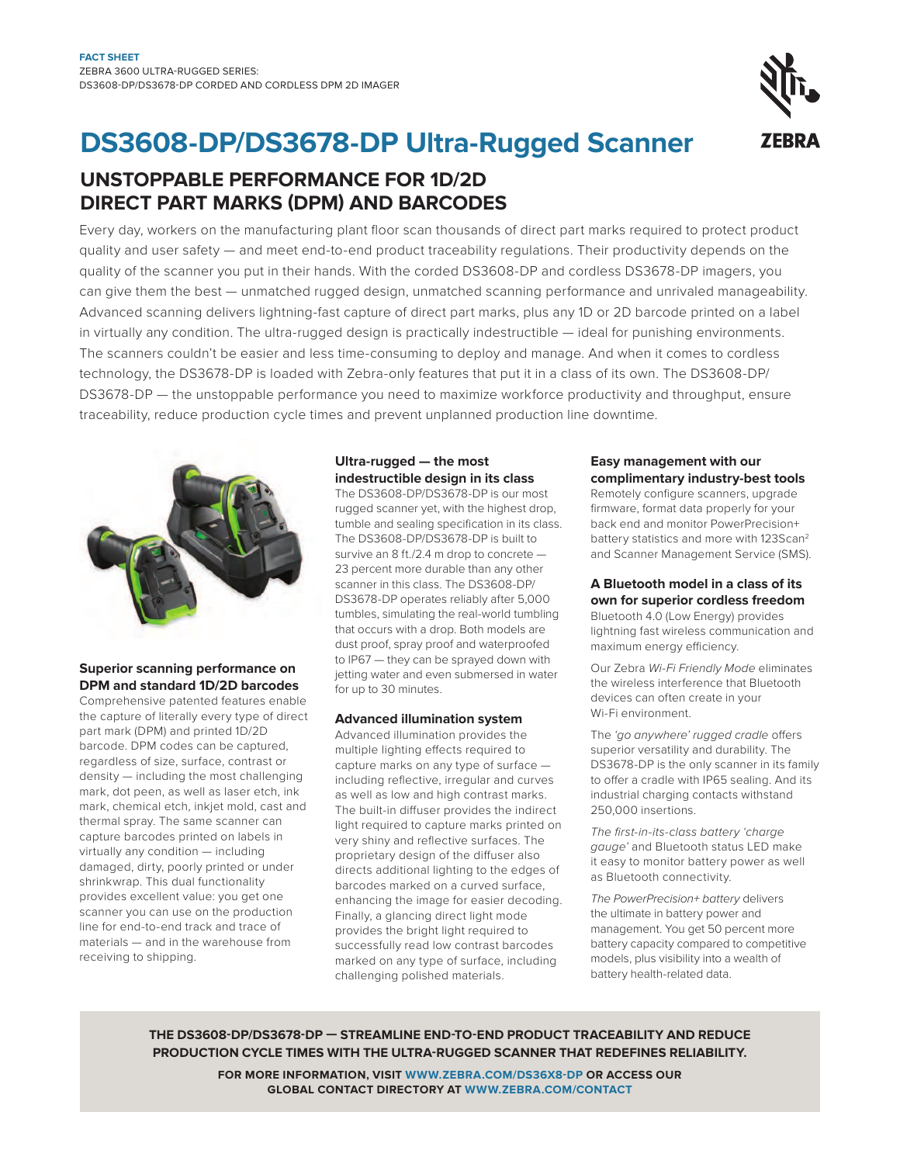## **DS3608-DP/DS3678-DP Ultra-Rugged Scanner**

### **UnSToPPABLE PERFoRMAnCE FoR 1D/2D DIRECT PART MARKS (DPM) AnD BARCoDES**

Every day, workers on the manufacturing plant loor scan thousands of direct part marks required to protect product quality and user safety — and meet end-to-end product traceability regulations. Their productivity depends on the quality of the scanner you put in their hands. With the corded DS3608-DP and cordless DS3678-DP imagers, you can give them the best — unmatched rugged design, unmatched scanning performance and unrivaled manageability. Advanced scanning delivers lightning-fast capture of direct part marks, plus any 1D or 2D barcode printed on a label in virtually any condition. The ultra-rugged design is practically indestructible — ideal for punishing environments. The scanners couldn't be easier and less time-consuming to deploy and manage. And when it comes to cordless technology, the DS3678-DP is loaded with Zebra-only features that put it in a class of its own. The DS3608-DP/ DS3678-DP — the unstoppable performance you need to maximize workforce productivity and throughput, ensure traceability, reduce production cycle times and prevent unplanned production line downtime.



#### **Superior scanning performance on DPM and standard 1D/2D barcodes**

Comprehensive patented features enable the capture of literally every type of direct part mark (DPM) and printed 1D/2D barcode. DPM codes can be captured, regardless of size, surface, contrast or density — including the most challenging mark, dot peen, as well as laser etch, ink mark, chemical etch, inkjet mold, cast and thermal spray. The same scanner can capture barcodes printed on labels in virtually any condition — including damaged, dirty, poorly printed or under shrinkwrap. This dual functionality provides excellent value: you get one scanner you can use on the production line for end-to-end track and trace of materials — and in the warehouse from receiving to shipping.

#### **Ultra-rugged — the most indestructible design in its class**

The DS3608-DP/DS3678-DP is our most rugged scanner yet, with the highest drop, tumble and sealing specification in its class. The DS3608-DP/DS3678-DP is built to survive an 8 ft./2.4 m drop to concrete — 23 percent more durable than any other scanner in this class. The DS3608-DP/ DS3678-DP operates reliably after 5,000 tumbles, simulating the real-world tumbling that occurs with a drop. Both models are dust proof, spray proof and waterproofed to IP67 — they can be sprayed down with jetting water and even submersed in water for up to 30 minutes.

#### **Advanced illumination system**

Advanced illumination provides the multiple lighting efects required to capture marks on any type of surface including reflective, irregular and curves as well as low and high contrast marks. The built-in difuser provides the indirect light required to capture marks printed on very shiny and reflective surfaces. The proprietary design of the difuser also directs additional lighting to the edges of barcodes marked on a curved surface, enhancing the image for easier decoding. Finally, a glancing direct light mode provides the bright light required to successfully read low contrast barcodes marked on any type of surface, including challenging polished materials.

#### **Easy management with our complimentary industry-best tools**

Remotely configure scanners, upgrade irmware, format data properly for your back end and monitor PowerPrecision+ battery statistics and more with 123Scan<sup>2</sup> and Scanner Management Service (SMS).

#### **A Bluetooth model in a class of its own for superior cordless freedom**

Bluetooth 4.0 (Low Energy) provides lightning fast wireless communication and maximum energy efficiency.

Our Zebra Wi-Fi Friendly Mode eliminates the wireless interference that Bluetooth devices can often create in your Wi-Fi environment.

The 'go anywhere' rugged cradle offers superior versatility and durability. The DS3678-DP is the only scanner in its family to offer a cradle with IP65 sealing. And its industrial charging contacts withstand 250,000 insertions.

The first-in-its-class battery 'charge gauge' and Bluetooth status LED make it easy to monitor battery power as well as Bluetooth connectivity.

The PowerPrecision+ battery delivers the ultimate in battery power and management. You get 50 percent more battery capacity compared to competitive models, plus visibility into a wealth of battery health-related data.

**THE DS3608-DP/DS3678-DP — STREAMLInE EnD-To-EnD PRoDUCT TRACEABILITY AnD REDUCE PRoDUCTIon CYCLE TIMES WITH THE ULTRA-RUGGED SCAnnER THAT REDEFInES RELIABILITY.**

> **FoR MoRE InFoRMATIon, VISIT WWW.ZEBRA.CoM/DS36X8-DP oR ACCESS oUR GLoBAL ConTACT DIRECToRY AT WWW.ZEBRA.CoM/ConTACT**